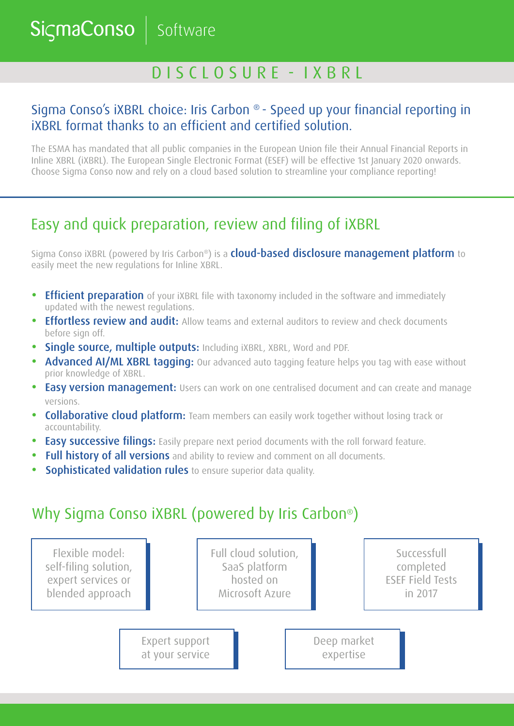Software

**SicmaConso** 

# D I S C L O S U R E - I X B R L

### Sigma Conso's iXBRL choice: Iris Carbon ® - Speed up your financial reporting in iXBRL format thanks to an efficient and certified solution.

The ESMA has mandated that all public companies in the European Union file their Annual Financial Reports in Inline XBRL (iXBRL). The European Single Electronic Format (ESEF) will be effective 1st January 2020 onwards. Choose Sigma Conso now and rely on a cloud based solution to streamline your compliance reporting!

# Easy and quick preparation, review and filing of iXBRL

Sigma Conso iXBRL (powered by Iris Carbon®) is a **cloud-based disclosure management platform** to easily meet the new regulations for Inline XBRL.

- **•** Efficient preparation of your iXBRL file with taxonomy included in the software and immediately updated with the newest regulations.
- Effortless review and audit: Allow teams and external auditors to review and check documents before sign off.
- **•** Single source, multiple outputs: Including iXBRL, XBRL, Word and PDF.
- **Advanced AI/ML XBRL tagging:** Our advanced auto tagging feature helps you tag with ease without prior knowledge of XBRL.
- **•** Easy version management: Users can work on one centralised document and can create and manage versions.
- **Collaborative cloud platform:** Team members can easily work together without losing track or accountability.
- **Easy successive filings:** Easily prepare next period documents with the roll forward feature.
- **•** Full history of all versions and ability to review and comment on all documents.
- **Sophisticated validation rules** to ensure superior data quality.

## Why Sigma Conso iXBRL (powered by Iris Carbon®)